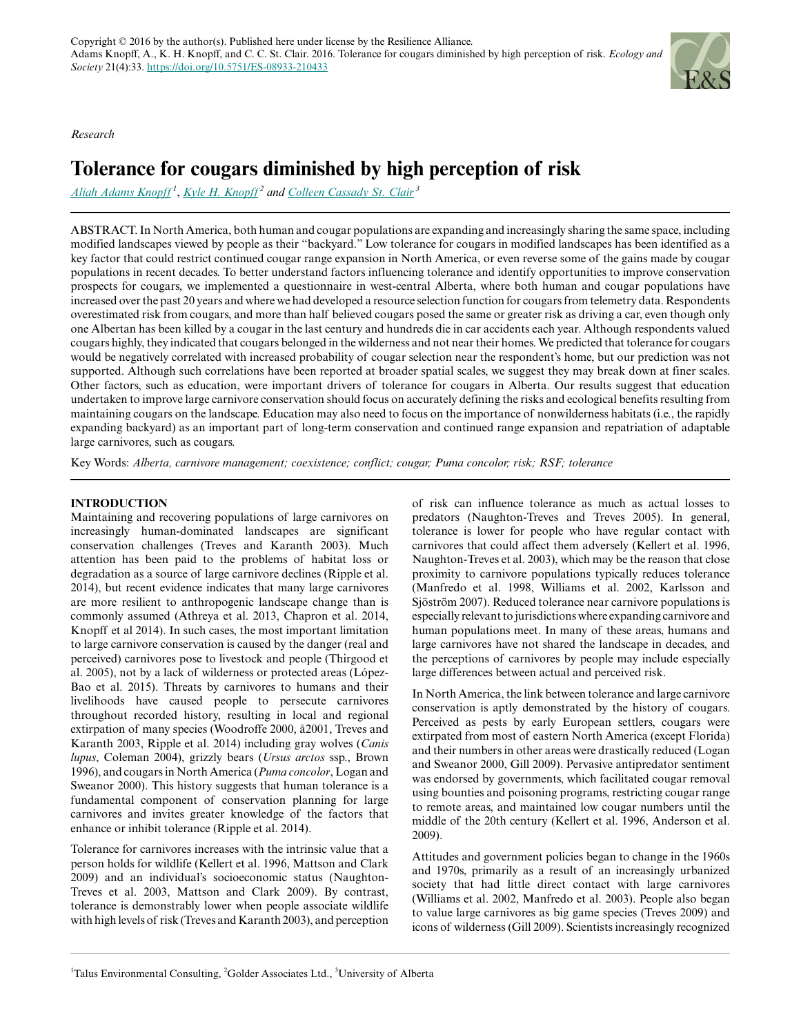*Research*

# **Tolerance for cougars diminished by high perception of risk**

*[Aliah Adams Knopff](mailto:aliah.knopff@gmail.com)<sup>1</sup>* , *[Kyle H. Knopff](mailto:Kyle_Knopff@golder.com)<sup>2</sup> and [Colleen Cassady St. Clair](mailto:cstclair@ualberta.ca)<sup>3</sup>*

ABSTRACT. In North America, both human and cougar populations are expanding and increasingly sharing the same space, including modified landscapes viewed by people as their "backyard." Low tolerance for cougars in modified landscapes has been identified as a key factor that could restrict continued cougar range expansion in North America, or even reverse some of the gains made by cougar populations in recent decades. To better understand factors influencing tolerance and identify opportunities to improve conservation prospects for cougars, we implemented a questionnaire in west-central Alberta, where both human and cougar populations have increased over the past 20 years and where we had developed a resource selection function for cougars from telemetry data. Respondents overestimated risk from cougars, and more than half believed cougars posed the same or greater risk as driving a car, even though only one Albertan has been killed by a cougar in the last century and hundreds die in car accidents each year. Although respondents valued cougars highly, they indicated that cougars belonged in the wilderness and not near their homes. We predicted that tolerance for cougars would be negatively correlated with increased probability of cougar selection near the respondent's home, but our prediction was not supported. Although such correlations have been reported at broader spatial scales, we suggest they may break down at finer scales. Other factors, such as education, were important drivers of tolerance for cougars in Alberta. Our results suggest that education undertaken to improve large carnivore conservation should focus on accurately defining the risks and ecological benefits resulting from maintaining cougars on the landscape. Education may also need to focus on the importance of nonwilderness habitats (i.e., the rapidly expanding backyard) as an important part of long-term conservation and continued range expansion and repatriation of adaptable large carnivores, such as cougars.

Key Words: *Alberta, carnivore management; coexistence; conflict; cougar; Puma concolor; risk; RSF; tolerance*

# **INTRODUCTION**

Maintaining and recovering populations of large carnivores on increasingly human-dominated landscapes are significant conservation challenges (Treves and Karanth 2003). Much attention has been paid to the problems of habitat loss or degradation as a source of large carnivore declines (Ripple et al. 2014), but recent evidence indicates that many large carnivores are more resilient to anthropogenic landscape change than is commonly assumed (Athreya et al. 2013, Chapron et al. 2014, Knopff et al 2014). In such cases, the most important limitation to large carnivore conservation is caused by the danger (real and perceived) carnivores pose to livestock and people (Thirgood et al. 2005), not by a lack of wilderness or protected areas (López-Bao et al. 2015). Threats by carnivores to humans and their livelihoods have caused people to persecute carnivores throughout recorded history, resulting in local and regional extirpation of many species (Woodroffe 2000, å2001, Treves and Karanth 2003, Ripple et al. 2014) including gray wolves (*Canis lupus*, Coleman 2004), grizzly bears (*Ursus arctos* ssp., Brown 1996), and cougars in North America (*Puma concolor*, Logan and Sweanor 2000). This history suggests that human tolerance is a fundamental component of conservation planning for large carnivores and invites greater knowledge of the factors that enhance or inhibit tolerance (Ripple et al. 2014).

Tolerance for carnivores increases with the intrinsic value that a person holds for wildlife (Kellert et al. 1996, Mattson and Clark 2009) and an individual's socioeconomic status (Naughton-Treves et al. 2003, Mattson and Clark 2009). By contrast, tolerance is demonstrably lower when people associate wildlife with high levels of risk (Treves and Karanth 2003), and perception

of risk can influence tolerance as much as actual losses to predators (Naughton-Treves and Treves 2005). In general, tolerance is lower for people who have regular contact with carnivores that could affect them adversely (Kellert et al. 1996, Naughton-Treves et al. 2003), which may be the reason that close proximity to carnivore populations typically reduces tolerance (Manfredo et al. 1998, Williams et al. 2002, Karlsson and Sjöström 2007). Reduced tolerance near carnivore populations is especially relevant to jurisdictions where expanding carnivore and human populations meet. In many of these areas, humans and large carnivores have not shared the landscape in decades, and the perceptions of carnivores by people may include especially large differences between actual and perceived risk.

In North America, the link between tolerance and large carnivore conservation is aptly demonstrated by the history of cougars. Perceived as pests by early European settlers, cougars were extirpated from most of eastern North America (except Florida) and their numbers in other areas were drastically reduced (Logan and Sweanor 2000, Gill 2009). Pervasive antipredator sentiment was endorsed by governments, which facilitated cougar removal using bounties and poisoning programs, restricting cougar range to remote areas, and maintained low cougar numbers until the middle of the 20th century (Kellert et al. 1996, Anderson et al. 2009).

Attitudes and government policies began to change in the 1960s and 1970s, primarily as a result of an increasingly urbanized society that had little direct contact with large carnivores (Williams et al. 2002, Manfredo et al. 2003). People also began to value large carnivores as big game species (Treves 2009) and icons of wilderness (Gill 2009). Scientists increasingly recognized

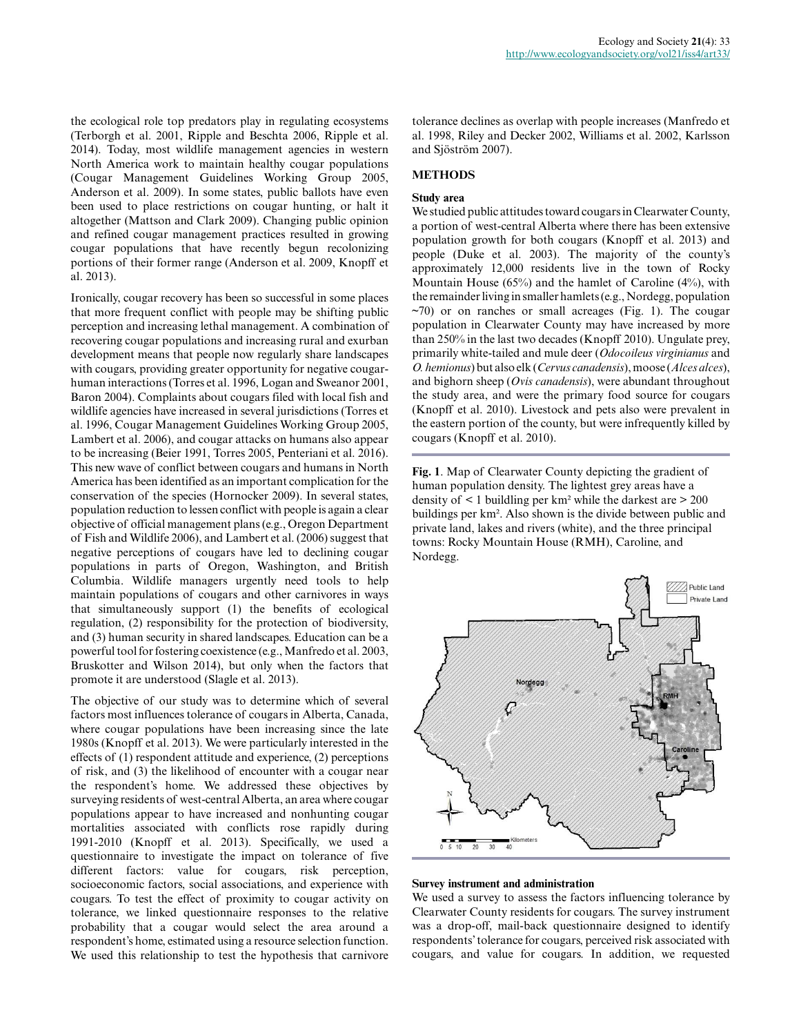the ecological role top predators play in regulating ecosystems (Terborgh et al. 2001, Ripple and Beschta 2006, Ripple et al. 2014). Today, most wildlife management agencies in western North America work to maintain healthy cougar populations (Cougar Management Guidelines Working Group 2005, Anderson et al. 2009). In some states, public ballots have even been used to place restrictions on cougar hunting, or halt it altogether (Mattson and Clark 2009). Changing public opinion and refined cougar management practices resulted in growing cougar populations that have recently begun recolonizing portions of their former range (Anderson et al. 2009, Knopff et al. 2013).

Ironically, cougar recovery has been so successful in some places that more frequent conflict with people may be shifting public perception and increasing lethal management. A combination of recovering cougar populations and increasing rural and exurban development means that people now regularly share landscapes with cougars, providing greater opportunity for negative cougarhuman interactions (Torres et al. 1996, Logan and Sweanor 2001, Baron 2004). Complaints about cougars filed with local fish and wildlife agencies have increased in several jurisdictions (Torres et al. 1996, Cougar Management Guidelines Working Group 2005, Lambert et al. 2006), and cougar attacks on humans also appear to be increasing (Beier 1991, Torres 2005, Penteriani et al. 2016). This new wave of conflict between cougars and humans in North America has been identified as an important complication for the conservation of the species (Hornocker 2009). In several states, population reduction to lessen conflict with people is again a clear objective of official management plans (e.g., Oregon Department of Fish and Wildlife 2006), and Lambert et al. (2006) suggest that negative perceptions of cougars have led to declining cougar populations in parts of Oregon, Washington, and British Columbia. Wildlife managers urgently need tools to help maintain populations of cougars and other carnivores in ways that simultaneously support (1) the benefits of ecological regulation, (2) responsibility for the protection of biodiversity, and (3) human security in shared landscapes. Education can be a powerful tool for fostering coexistence (e.g., Manfredo et al. 2003, Bruskotter and Wilson 2014), but only when the factors that promote it are understood (Slagle et al. 2013).

The objective of our study was to determine which of several factors most influences tolerance of cougars in Alberta, Canada, where cougar populations have been increasing since the late 1980s (Knopff et al. 2013). We were particularly interested in the effects of (1) respondent attitude and experience, (2) perceptions of risk, and (3) the likelihood of encounter with a cougar near the respondent's home. We addressed these objectives by surveying residents of west-central Alberta, an area where cougar populations appear to have increased and nonhunting cougar mortalities associated with conflicts rose rapidly during 1991-2010 (Knopff et al. 2013). Specifically, we used a questionnaire to investigate the impact on tolerance of five different factors: value for cougars, risk perception, socioeconomic factors, social associations, and experience with cougars. To test the effect of proximity to cougar activity on tolerance, we linked questionnaire responses to the relative probability that a cougar would select the area around a respondent's home, estimated using a resource selection function. We used this relationship to test the hypothesis that carnivore

tolerance declines as overlap with people increases (Manfredo et al. 1998, Riley and Decker 2002, Williams et al. 2002, Karlsson and Sjöström 2007).

## **METHODS**

#### **Study area**

We studied public attitudes toward cougars in Clearwater County, a portion of west-central Alberta where there has been extensive population growth for both cougars (Knopff et al. 2013) and people (Duke et al. 2003). The majority of the county's approximately 12,000 residents live in the town of Rocky Mountain House (65%) and the hamlet of Caroline (4%), with the remainder living in smaller hamlets (e.g., Nordegg, population  $\sim$ 70) or on ranches or small acreages (Fig. 1). The cougar population in Clearwater County may have increased by more than 250% in the last two decades (Knopff 2010). Ungulate prey, primarily white-tailed and mule deer (*Odocoileus virginianus* and *O. hemionus*) but also elk (*Cervus canadensis*), moose (*Alces alces*), and bighorn sheep (*Ovis canadensis*), were abundant throughout the study area, and were the primary food source for cougars (Knopff et al. 2010). Livestock and pets also were prevalent in the eastern portion of the county, but were infrequently killed by cougars (Knopff et al. 2010).

**Fig. 1**. Map of Clearwater County depicting the gradient of human population density. The lightest grey areas have a density of  $\leq 1$  buildling per km<sup>2</sup> while the darkest are  $> 200$ buildings per km². Also shown is the divide between public and private land, lakes and rivers (white), and the three principal towns: Rocky Mountain House (RMH), Caroline, and Nordegg.



## **Survey instrument and administration**

We used a survey to assess the factors influencing tolerance by Clearwater County residents for cougars. The survey instrument was a drop-off, mail-back questionnaire designed to identify respondents' tolerance for cougars, perceived risk associated with cougars, and value for cougars. In addition, we requested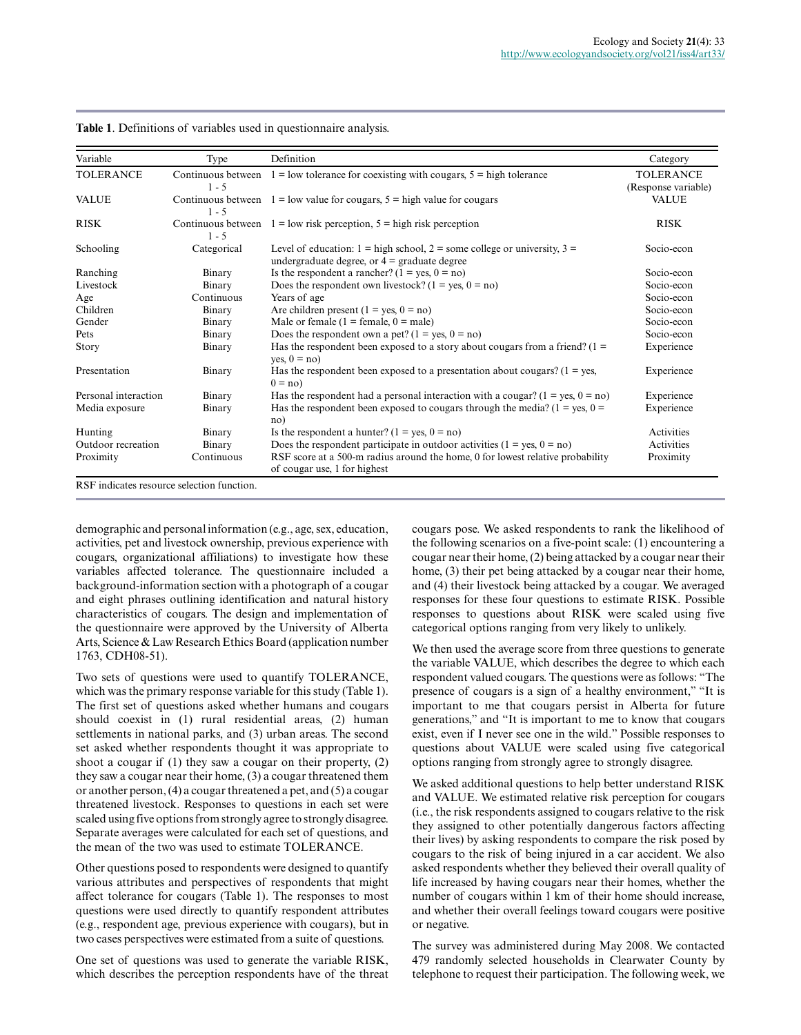| Variable             | Type        | Definition                                                                                                                              | Category                                |
|----------------------|-------------|-----------------------------------------------------------------------------------------------------------------------------------------|-----------------------------------------|
| <b>TOLERANCE</b>     | $1 - 5$     | Continuous between $1 =$ low tolerance for coexisting with cougars, $5 =$ high tolerance                                                | <b>TOLERANCE</b><br>(Response variable) |
| <b>VALUE</b>         | $1 - 5$     | Continuous between $1 =$ low value for cougars, $5 =$ high value for cougars                                                            | <b>VALUE</b>                            |
| <b>RISK</b>          | $1 - 5$     | Continuous between $1 =$ low risk perception, $5 =$ high risk perception                                                                | <b>RISK</b>                             |
| Schooling            | Categorical | Level of education: $1 =$ high school, $2 =$ some college or university, $3 =$<br>undergraduate degree, or $4 = \text{graduate degree}$ | Socio-econ                              |
| Ranching             | Binary      | Is the respondent a rancher? $(1 = yes, 0 = no)$                                                                                        | Socio-econ                              |
| Livestock            | Binary      | Does the respondent own livestock? $(1 = yes, 0 = no)$                                                                                  | Socio-econ                              |
| Age                  | Continuous  | Years of age                                                                                                                            | Socio-econ                              |
| Children             | Binary      | Are children present $(1 = yes, 0 = no)$                                                                                                | Socio-econ                              |
| Gender               | Binary      | Male or female $(1 =$ female, $0 =$ male)                                                                                               | Socio-econ                              |
| Pets                 | Binary      | Does the respondent own a pet? $(1 = yes, 0 = no)$                                                                                      | Socio-econ                              |
| Story                | Binary      | Has the respondent been exposed to a story about cougars from a friend? $(1 =$<br>yes, $0 = no$ )                                       | Experience                              |
| Presentation         | Binary      | Has the respondent been exposed to a presentation about cougars? $(1 = yes,$<br>$0 = no$                                                | Experience                              |
| Personal interaction | Binary      | Has the respondent had a personal interaction with a cougar? $(1 = yes, 0 = no)$                                                        | Experience                              |
| Media exposure       | Binary      | Has the respondent been exposed to cougars through the media? $(1 = yes, 0 =$<br>no)                                                    | Experience                              |
| Hunting              | Binary      | Is the respondent a hunter? $(1 = yes, 0 = no)$                                                                                         | Activities                              |
| Outdoor recreation   | Binary      | Does the respondent participate in outdoor activities $(1 = yes, 0 = no)$                                                               | Activities                              |
| Proximity            | Continuous  | RSF score at a 500-m radius around the home, 0 for lowest relative probability<br>of cougar use, 1 for highest                          | Proximity                               |

| Table 1. Definitions of variables used in questionnaire analysis. |  |  |
|-------------------------------------------------------------------|--|--|
|-------------------------------------------------------------------|--|--|

RSF indicates resource selection function.

demographic and personal information (e.g., age, sex, education, activities, pet and livestock ownership, previous experience with cougars, organizational affiliations) to investigate how these variables affected tolerance. The questionnaire included a background-information section with a photograph of a cougar and eight phrases outlining identification and natural history characteristics of cougars. The design and implementation of the questionnaire were approved by the University of Alberta Arts, Science & Law Research Ethics Board (application number 1763, CDH08-51).

Two sets of questions were used to quantify TOLERANCE, which was the primary response variable for this study (Table 1). The first set of questions asked whether humans and cougars should coexist in (1) rural residential areas, (2) human settlements in national parks, and (3) urban areas. The second set asked whether respondents thought it was appropriate to shoot a cougar if (1) they saw a cougar on their property, (2) they saw a cougar near their home, (3) a cougar threatened them or another person, (4) a cougar threatened a pet, and (5) a cougar threatened livestock. Responses to questions in each set were scaled using five options from strongly agree to strongly disagree. Separate averages were calculated for each set of questions, and the mean of the two was used to estimate TOLERANCE.

Other questions posed to respondents were designed to quantify various attributes and perspectives of respondents that might affect tolerance for cougars (Table 1). The responses to most questions were used directly to quantify respondent attributes (e.g., respondent age, previous experience with cougars), but in two cases perspectives were estimated from a suite of questions.

One set of questions was used to generate the variable RISK, which describes the perception respondents have of the threat cougars pose. We asked respondents to rank the likelihood of the following scenarios on a five-point scale: (1) encountering a cougar near their home, (2) being attacked by a cougar near their home, (3) their pet being attacked by a cougar near their home, and (4) their livestock being attacked by a cougar. We averaged responses for these four questions to estimate RISK. Possible responses to questions about RISK were scaled using five categorical options ranging from very likely to unlikely.

We then used the average score from three questions to generate the variable VALUE, which describes the degree to which each respondent valued cougars. The questions were as follows: "The presence of cougars is a sign of a healthy environment," "It is important to me that cougars persist in Alberta for future generations," and "It is important to me to know that cougars exist, even if I never see one in the wild." Possible responses to questions about VALUE were scaled using five categorical options ranging from strongly agree to strongly disagree.

We asked additional questions to help better understand RISK and VALUE. We estimated relative risk perception for cougars (i.e., the risk respondents assigned to cougars relative to the risk they assigned to other potentially dangerous factors affecting their lives) by asking respondents to compare the risk posed by cougars to the risk of being injured in a car accident. We also asked respondents whether they believed their overall quality of life increased by having cougars near their homes, whether the number of cougars within 1 km of their home should increase, and whether their overall feelings toward cougars were positive or negative.

The survey was administered during May 2008. We contacted 479 randomly selected households in Clearwater County by telephone to request their participation. The following week, we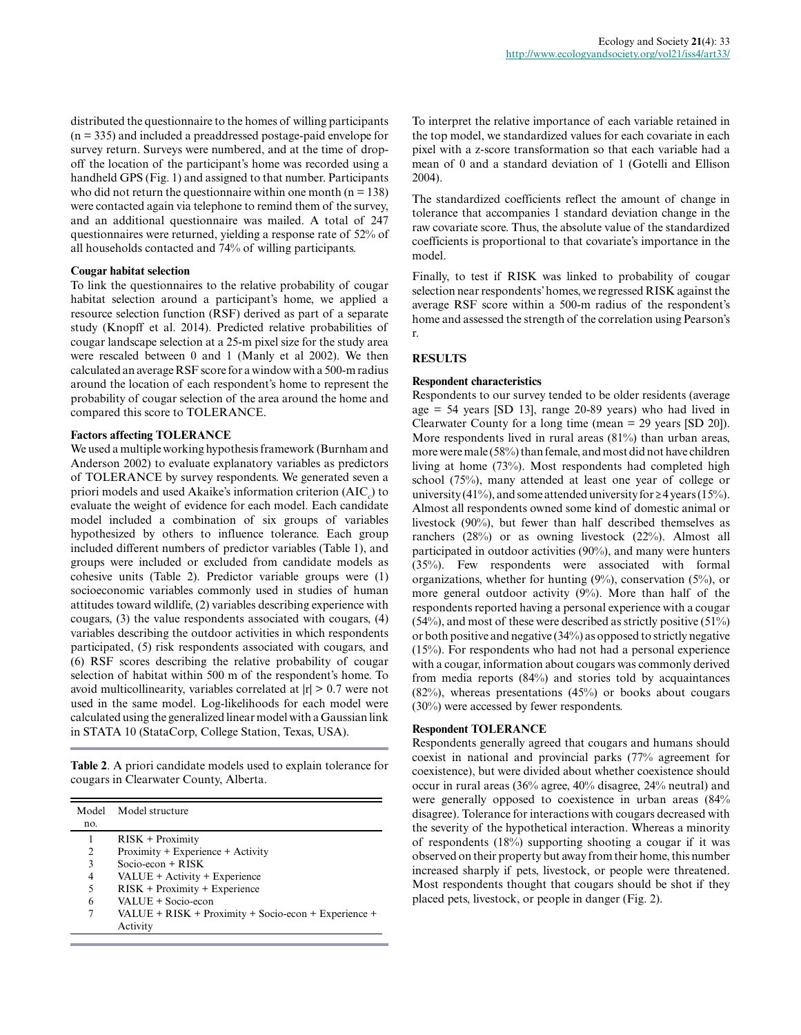distributed the questionnaire to the homes of willing participants (n = 335) and included a preaddressed postage-paid envelope for survey return. Surveys were numbered, and at the time of dropoff the location of the participant's home was recorded using a handheld GPS (Fig. 1) and assigned to that number. Participants who did not return the questionnaire within one month ( $n = 138$ ) were contacted again via telephone to remind them of the survey, and an additional questionnaire was mailed. A total of 247 questionnaires were returned, yielding a response rate of 52% of all households contacted and 74% of willing participants.

#### **Cougar habitat selection**

To link the questionnaires to the relative probability of cougar habitat selection around a participant's home, we applied a resource selection function (RSF) derived as part of a separate study (Knopff et al. 2014). Predicted relative probabilities of cougar landscape selection at a 25-m pixel size for the study area were rescaled between 0 and 1 (Manly et al 2002). We then calculated an average RSF score for a window with a 500-m radius around the location of each respondent's home to represent the probability of cougar selection of the area around the home and compared this score to TOLERANCE.

# **Factors affecting TOLERANCE**

We used a multiple working hypothesis framework (Burnham and Anderson 2002) to evaluate explanatory variables as predictors of TOLERANCE by survey respondents. We generated seven a priori models and used Akaike's information criterion (AIC<sub>c</sub>) to evaluate the weight of evidence for each model. Each candidate model included a combination of six groups of variables hypothesized by others to influence tolerance. Each group included different numbers of predictor variables (Table 1), and groups were included or excluded from candidate models as cohesive units (Table 2). Predictor variable groups were (1) socioeconomic variables commonly used in studies of human attitudes toward wildlife, (2) variables describing experience with cougars, (3) the value respondents associated with cougars, (4) variables describing the outdoor activities in which respondents participated, (5) risk respondents associated with cougars, and (6) RSF scores describing the relative probability of cougar selection of habitat within 500 m of the respondent's home. To avoid multicollinearity, variables correlated at  $|r| > 0.7$  were not used in the same model. Log-likelihoods for each model were calculated using the generalized linear model with a Gaussian link in STATA 10 (StataCorp, College Station, Texas, USA).

**Table 2**. A priori candidate models used to explain tolerance for cougars in Clearwater County, Alberta.

|     | Model Model structure                                |
|-----|------------------------------------------------------|
| no. |                                                      |
| 1   | $RISK + Proximity$                                   |
| 2   | $Proximity + Experience + Activity$                  |
| 3   | $Socio-econ + RISK$                                  |
| 4   | VALUE + Activity + Experience                        |
| 5   | RISK + Proximity + Experience                        |
| 6   | VALUE + Socio-econ                                   |
| 7   | VALUE + RISK + Proximity + Socio-econ + Experience + |
|     | Activity                                             |

To interpret the relative importance of each variable retained in the top model, we standardized values for each covariate in each pixel with a z-score transformation so that each variable had a mean of 0 and a standard deviation of 1 (Gotelli and Ellison 2004).

Ecology and Society **21**(4): 33

<http://www.ecologyandsociety.org/vol21/iss4/art33/>

The standardized coefficients reflect the amount of change in tolerance that accompanies 1 standard deviation change in the raw covariate score. Thus, the absolute value of the standardized coefficients is proportional to that covariate's importance in the model.

Finally, to test if RISK was linked to probability of cougar selection near respondents' homes, we regressed RISK against the average RSF score within a 500-m radius of the respondent's home and assessed the strength of the correlation using Pearson's r.

# **RESULTS**

#### **Respondent characteristics**

Respondents to our survey tended to be older residents (average age  $= 54$  years [SD 13], range 20-89 years) who had lived in Clearwater County for a long time (mean = 29 years [SD 20]). More respondents lived in rural areas (81%) than urban areas, more were male (58%) than female, and most did not have children living at home (73%). Most respondents had completed high school (75%), many attended at least one year of college or university (41%), and some attended university for  $\geq 4$  years (15%). Almost all respondents owned some kind of domestic animal or livestock (90%), but fewer than half described themselves as ranchers (28%) or as owning livestock (22%). Almost all participated in outdoor activities (90%), and many were hunters (35%). Few respondents were associated with formal organizations, whether for hunting  $(9\%)$ , conservation  $(5\%)$ , or more general outdoor activity  $(9%)$ . More than half of the respondents reported having a personal experience with a cougar (54%), and most of these were described as strictly positive (51%) or both positive and negative (34%) as opposed to strictly negative (15%). For respondents who had not had a personal experience with a cougar, information about cougars was commonly derived from media reports (84%) and stories told by acquaintances (82%), whereas presentations (45%) or books about cougars (30%) were accessed by fewer respondents.

# **Respondent TOLERANCE**

Respondents generally agreed that cougars and humans should coexist in national and provincial parks (77% agreement for coexistence), but were divided about whether coexistence should occur in rural areas (36% agree, 40% disagree, 24% neutral) and were generally opposed to coexistence in urban areas (84% disagree). Tolerance for interactions with cougars decreased with the severity of the hypothetical interaction. Whereas a minority of respondents (18%) supporting shooting a cougar if it was observed on their property but away from their home, this number increased sharply if pets, livestock, or people were threatened. Most respondents thought that cougars should be shot if they placed pets, livestock, or people in danger (Fig. 2).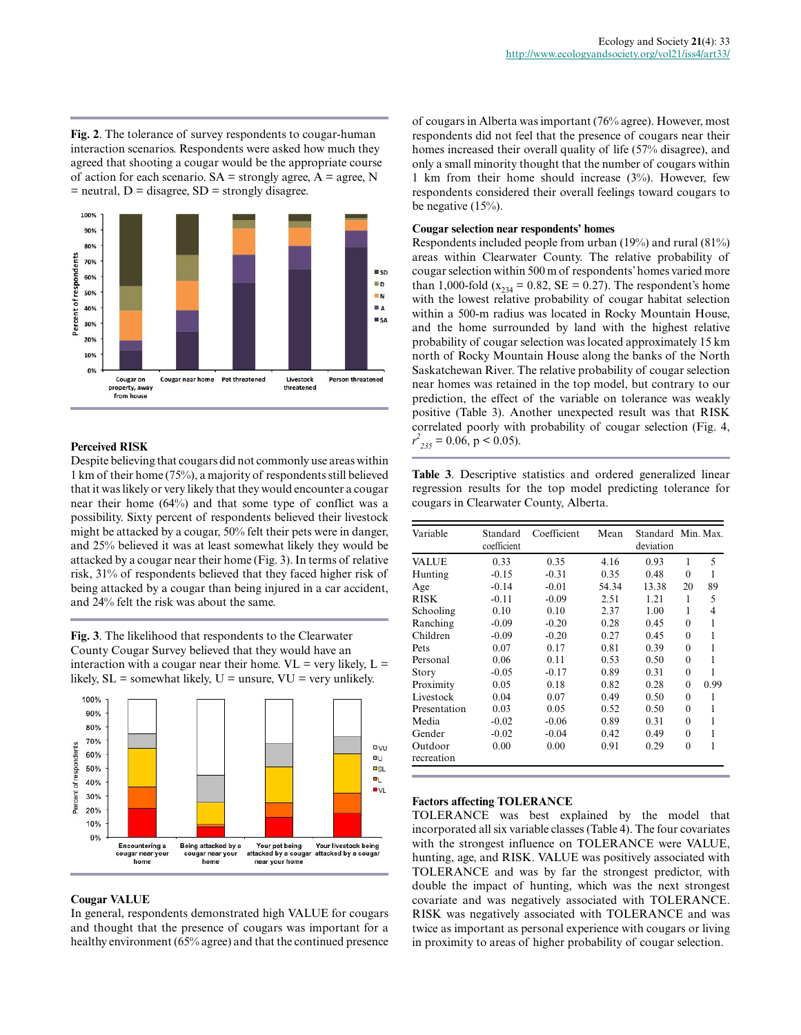**Fig. 2**. The tolerance of survey respondents to cougar-human interaction scenarios. Respondents were asked how much they agreed that shooting a cougar would be the appropriate course of action for each scenario.  $SA =$  strongly agree,  $A =$  agree, N  $=$  neutral,  $D =$  disagree,  $SD =$  strongly disagree.



#### **Perceived RISK**

Despite believing that cougars did not commonly use areas within 1 km of their home (75%), a majority of respondents still believed that it was likely or very likely that they would encounter a cougar near their home (64%) and that some type of conflict was a possibility. Sixty percent of respondents believed their livestock might be attacked by a cougar, 50% felt their pets were in danger, and 25% believed it was at least somewhat likely they would be attacked by a cougar near their home (Fig. 3). In terms of relative risk, 31% of respondents believed that they faced higher risk of being attacked by a cougar than being injured in a car accident, and 24% felt the risk was about the same.

**Fig. 3**. The likelihood that respondents to the Clearwater County Cougar Survey believed that they would have an interaction with a cougar near their home.  $VL =$  very likely,  $L =$ likely,  $SL =$  somewhat likely,  $U =$  unsure,  $VU =$  very unlikely.



#### **Cougar VALUE**

In general, respondents demonstrated high VALUE for cougars and thought that the presence of cougars was important for a healthy environment (65% agree) and that the continued presence of cougars in Alberta was important (76% agree). However, most respondents did not feel that the presence of cougars near their homes increased their overall quality of life (57% disagree), and only a small minority thought that the number of cougars within 1 km from their home should increase (3%). However, few respondents considered their overall feelings toward cougars to be negative  $(15%)$ .

## **Cougar selection near respondents' homes**

Respondents included people from urban (19%) and rural (81%) areas within Clearwater County. The relative probability of cougar selection within 500 m of respondents' homes varied more than 1,000-fold ( $x_{234} = 0.82$ , SE = 0.27). The respondent's home with the lowest relative probability of cougar habitat selection within a 500-m radius was located in Rocky Mountain House, and the home surrounded by land with the highest relative probability of cougar selection was located approximately 15 km north of Rocky Mountain House along the banks of the North Saskatchewan River. The relative probability of cougar selection near homes was retained in the top model, but contrary to our prediction, the effect of the variable on tolerance was weakly positive (Table 3). Another unexpected result was that RISK correlated poorly with probability of cougar selection (Fig. 4,  $r^2_{235} = 0.06$ , p < 0.05).

**Table 3**. Descriptive statistics and ordered generalized linear regression results for the top model predicting tolerance for cougars in Clearwater County, Alberta.

| Variable     | Standard<br>coefficient | Coefficient | Mean  | Standard Min. Max.<br>deviation |          |      |
|--------------|-------------------------|-------------|-------|---------------------------------|----------|------|
| <b>VALUE</b> | 0.33                    | 0.35        | 4.16  | 0.93                            | 1        | 5    |
| Hunting      | $-0.15$                 | $-0.31$     | 0.35  | 0.48                            | $\Omega$ | 1    |
| Age          | $-0.14$                 | $-0.01$     | 54.34 | 13.38                           | 20       | 89   |
| <b>RISK</b>  | $-0.11$                 | $-0.09$     | 2.51  | 1.21                            | 1        | 5    |
| Schooling    | 0.10                    | 0.10        | 2.37  | 1.00                            | 1        | 4    |
| Ranching     | $-0.09$                 | $-0.20$     | 0.28  | 0.45                            | $\Omega$ | 1    |
| Children     | $-0.09$                 | $-0.20$     | 0.27  | 0.45                            | $\Omega$ | 1    |
| Pets         | 0.07                    | 0.17        | 0.81  | 0.39                            | $\theta$ |      |
| Personal     | 0.06                    | 0.11        | 0.53  | 0.50                            | $\Omega$ | 1    |
| Story        | $-0.05$                 | $-0.17$     | 0.89  | 0.31                            | $\Omega$ |      |
| Proximity    | 0.05                    | 0.18        | 0.82  | 0.28                            | $\Omega$ | 0.99 |
| Livestock    | 0.04                    | 0.07        | 0.49  | 0.50                            | $\Omega$ |      |
| Presentation | 0.03                    | 0.05        | 0.52  | 0.50                            | $\Omega$ |      |
| Media        | $-0.02$                 | $-0.06$     | 0.89  | 0.31                            | $\Omega$ | 1    |
| Gender       | $-0.02$                 | $-0.04$     | 0.42  | 0.49                            | $\Omega$ | 1    |
| Outdoor      | 0.00                    | 0.00        | 0.91  | 0.29                            | $\theta$ | 1    |
| recreation   |                         |             |       |                                 |          |      |

#### **Factors affecting TOLERANCE**

TOLERANCE was best explained by the model that incorporated all six variable classes (Table 4). The four covariates with the strongest influence on TOLERANCE were VALUE, hunting, age, and RISK. VALUE was positively associated with TOLERANCE and was by far the strongest predictor, with double the impact of hunting, which was the next strongest covariate and was negatively associated with TOLERANCE. RISK was negatively associated with TOLERANCE and was twice as important as personal experience with cougars or living in proximity to areas of higher probability of cougar selection.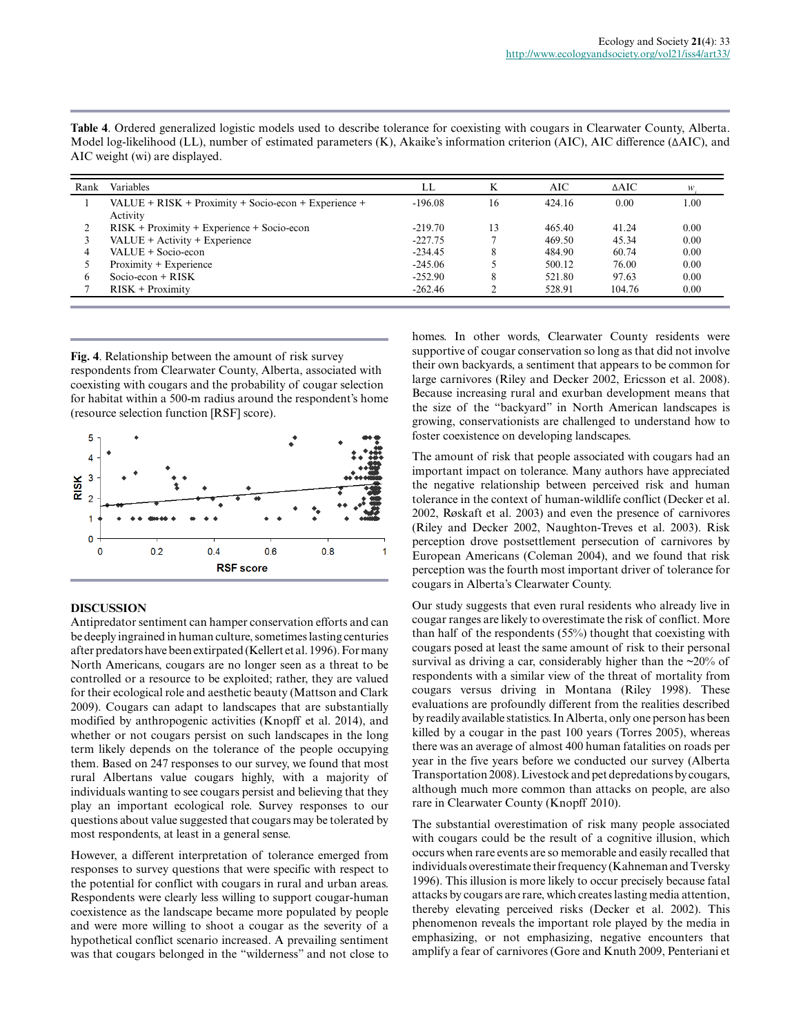| Rank | <b>Variables</b>                                                 | LL.       | K  | AIC    | $\triangle AIC$ | w    |
|------|------------------------------------------------------------------|-----------|----|--------|-----------------|------|
|      | VALUE + RISK + Proximity + Socio-econ + Experience +<br>Activity | $-196.08$ | 16 | 424.16 | 0.00            | 1.00 |
|      | $RISK + Proximity + Experience + Socio-econ$                     | $-219.70$ | 13 | 465.40 | 41.24           | 0.00 |
|      | VALUE + Activity + Experience                                    | $-227.75$ |    | 469.50 | 45.34           | 0.00 |
|      | VALUE + Socio-econ                                               | $-234.45$ | 8  | 484.90 | 60.74           | 0.00 |
|      | Proximity + Experience                                           | $-245.06$ |    | 500.12 | 76.00           | 0.00 |
|      | Socio-econ $+$ RISK                                              | $-252.90$ | 8  | 521.80 | 97.63           | 0.00 |
|      | $RISK + Proximity$                                               | $-262.46$ |    | 528.91 | 104.76          | 0.00 |

**Table 4**. Ordered generalized logistic models used to describe tolerance for coexisting with cougars in Clearwater County, Alberta. Model log-likelihood (LL), number of estimated parameters (K), Akaike's information criterion (AIC), AIC difference (ΔAIC), and AIC weight (wi) are displayed.

**Fig. 4**. Relationship between the amount of risk survey respondents from Clearwater County, Alberta, associated with coexisting with cougars and the probability of cougar selection for habitat within a 500-m radius around the respondent's home (resource selection function [RSF] score).



# **DISCUSSION**

Antipredator sentiment can hamper conservation efforts and can be deeply ingrained in human culture, sometimes lasting centuries after predators have been extirpated (Kellert et al. 1996). For many North Americans, cougars are no longer seen as a threat to be controlled or a resource to be exploited; rather, they are valued for their ecological role and aesthetic beauty (Mattson and Clark 2009). Cougars can adapt to landscapes that are substantially modified by anthropogenic activities (Knopff et al. 2014), and whether or not cougars persist on such landscapes in the long term likely depends on the tolerance of the people occupying them. Based on 247 responses to our survey, we found that most rural Albertans value cougars highly, with a majority of individuals wanting to see cougars persist and believing that they play an important ecological role. Survey responses to our questions about value suggested that cougars may be tolerated by most respondents, at least in a general sense.

However, a different interpretation of tolerance emerged from responses to survey questions that were specific with respect to the potential for conflict with cougars in rural and urban areas. Respondents were clearly less willing to support cougar-human coexistence as the landscape became more populated by people and were more willing to shoot a cougar as the severity of a hypothetical conflict scenario increased. A prevailing sentiment was that cougars belonged in the "wilderness" and not close to homes. In other words, Clearwater County residents were supportive of cougar conservation so long as that did not involve their own backyards, a sentiment that appears to be common for large carnivores (Riley and Decker 2002, Ericsson et al. 2008). Because increasing rural and exurban development means that the size of the "backyard" in North American landscapes is growing, conservationists are challenged to understand how to foster coexistence on developing landscapes.

The amount of risk that people associated with cougars had an important impact on tolerance. Many authors have appreciated the negative relationship between perceived risk and human tolerance in the context of human-wildlife conflict (Decker et al. 2002, Røskaft et al. 2003) and even the presence of carnivores (Riley and Decker 2002, Naughton-Treves et al. 2003). Risk perception drove postsettlement persecution of carnivores by European Americans (Coleman 2004), and we found that risk perception was the fourth most important driver of tolerance for cougars in Alberta's Clearwater County.

Our study suggests that even rural residents who already live in cougar ranges are likely to overestimate the risk of conflict. More than half of the respondents (55%) thought that coexisting with cougars posed at least the same amount of risk to their personal survival as driving a car, considerably higher than the  $\sim$ 20% of respondents with a similar view of the threat of mortality from cougars versus driving in Montana (Riley 1998). These evaluations are profoundly different from the realities described by readily available statistics. In Alberta, only one person has been killed by a cougar in the past 100 years (Torres 2005), whereas there was an average of almost 400 human fatalities on roads per year in the five years before we conducted our survey (Alberta Transportation 2008). Livestock and pet depredations by cougars, although much more common than attacks on people, are also rare in Clearwater County (Knopff 2010).

The substantial overestimation of risk many people associated with cougars could be the result of a cognitive illusion, which occurs when rare events are so memorable and easily recalled that individuals overestimate their frequency (Kahneman and Tversky 1996). This illusion is more likely to occur precisely because fatal attacks by cougars are rare, which creates lasting media attention, thereby elevating perceived risks (Decker et al. 2002). This phenomenon reveals the important role played by the media in emphasizing, or not emphasizing, negative encounters that amplify a fear of carnivores (Gore and Knuth 2009, Penteriani et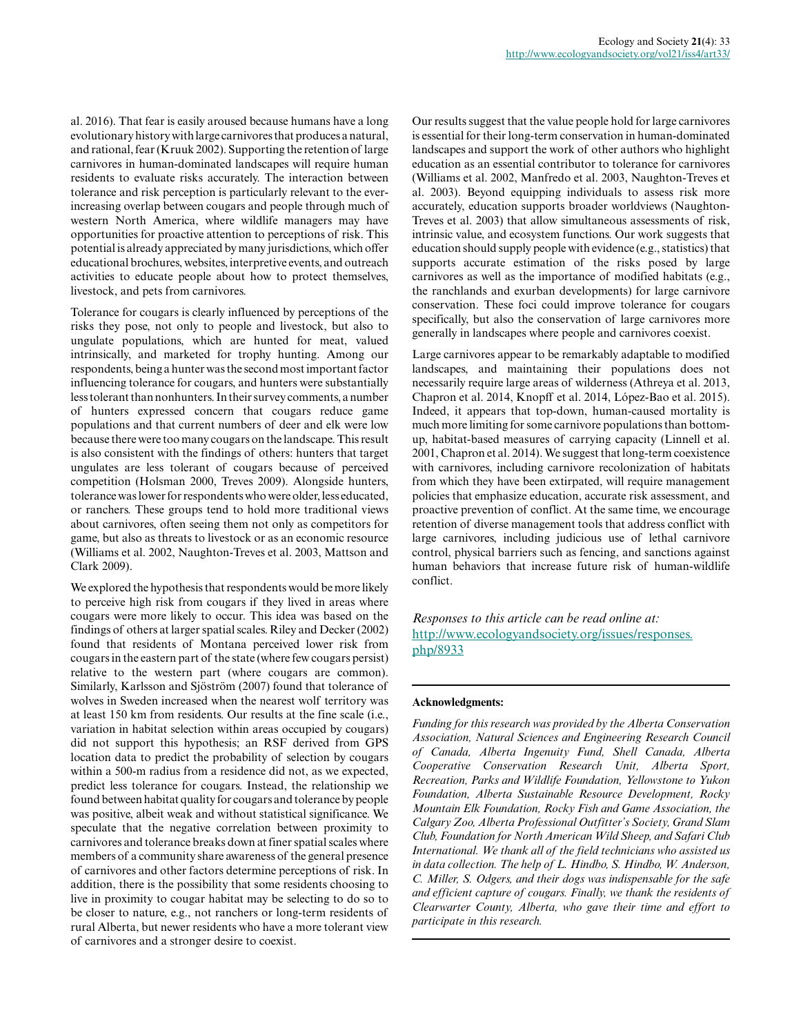al. 2016). That fear is easily aroused because humans have a long evolutionary history with large carnivores that produces a natural, and rational, fear (Kruuk 2002). Supporting the retention of large carnivores in human-dominated landscapes will require human residents to evaluate risks accurately. The interaction between tolerance and risk perception is particularly relevant to the everincreasing overlap between cougars and people through much of western North America, where wildlife managers may have opportunities for proactive attention to perceptions of risk. This potential is already appreciated by many jurisdictions, which offer educational brochures, websites, interpretive events, and outreach activities to educate people about how to protect themselves, livestock, and pets from carnivores.

Tolerance for cougars is clearly influenced by perceptions of the risks they pose, not only to people and livestock, but also to ungulate populations, which are hunted for meat, valued intrinsically, and marketed for trophy hunting. Among our respondents, being a hunter was the second most important factor influencing tolerance for cougars, and hunters were substantially less tolerant than nonhunters. In their survey comments, a number of hunters expressed concern that cougars reduce game populations and that current numbers of deer and elk were low because there were too many cougars on the landscape. This result is also consistent with the findings of others: hunters that target ungulates are less tolerant of cougars because of perceived competition (Holsman 2000, Treves 2009). Alongside hunters, tolerance was lower for respondents who were older, less educated, or ranchers. These groups tend to hold more traditional views about carnivores, often seeing them not only as competitors for game, but also as threats to livestock or as an economic resource (Williams et al. 2002, Naughton-Treves et al. 2003, Mattson and Clark 2009).

We explored the hypothesis that respondents would be more likely to perceive high risk from cougars if they lived in areas where cougars were more likely to occur. This idea was based on the findings of others at larger spatial scales. Riley and Decker (2002) found that residents of Montana perceived lower risk from cougars in the eastern part of the state (where few cougars persist) relative to the western part (where cougars are common). Similarly, Karlsson and Sjöström (2007) found that tolerance of wolves in Sweden increased when the nearest wolf territory was at least 150 km from residents. Our results at the fine scale (i.e., variation in habitat selection within areas occupied by cougars) did not support this hypothesis; an RSF derived from GPS location data to predict the probability of selection by cougars within a 500-m radius from a residence did not, as we expected, predict less tolerance for cougars. Instead, the relationship we found between habitat quality for cougars and tolerance by people was positive, albeit weak and without statistical significance. We speculate that the negative correlation between proximity to carnivores and tolerance breaks down at finer spatial scales where members of a community share awareness of the general presence of carnivores and other factors determine perceptions of risk. In addition, there is the possibility that some residents choosing to live in proximity to cougar habitat may be selecting to do so to be closer to nature, e.g., not ranchers or long-term residents of rural Alberta, but newer residents who have a more tolerant view of carnivores and a stronger desire to coexist.

Our results suggest that the value people hold for large carnivores is essential for their long-term conservation in human-dominated landscapes and support the work of other authors who highlight education as an essential contributor to tolerance for carnivores (Williams et al. 2002, Manfredo et al. 2003, Naughton-Treves et al. 2003). Beyond equipping individuals to assess risk more accurately, education supports broader worldviews (Naughton-Treves et al. 2003) that allow simultaneous assessments of risk, intrinsic value, and ecosystem functions. Our work suggests that education should supply people with evidence (e.g., statistics) that supports accurate estimation of the risks posed by large carnivores as well as the importance of modified habitats (e.g., the ranchlands and exurban developments) for large carnivore conservation. These foci could improve tolerance for cougars specifically, but also the conservation of large carnivores more generally in landscapes where people and carnivores coexist.

Large carnivores appear to be remarkably adaptable to modified landscapes, and maintaining their populations does not necessarily require large areas of wilderness (Athreya et al. 2013, Chapron et al. 2014, Knopff et al. 2014, López-Bao et al. 2015). Indeed, it appears that top-down, human-caused mortality is much more limiting for some carnivore populations than bottomup, habitat-based measures of carrying capacity (Linnell et al. 2001, Chapron et al. 2014). We suggest that long-term coexistence with carnivores, including carnivore recolonization of habitats from which they have been extirpated, will require management policies that emphasize education, accurate risk assessment, and proactive prevention of conflict. At the same time, we encourage retention of diverse management tools that address conflict with large carnivores, including judicious use of lethal carnivore control, physical barriers such as fencing, and sanctions against human behaviors that increase future risk of human-wildlife conflict.

*Responses to this article can be read online at:* [http://www.ecologyandsociety.org/issues/responses.](http://www.ecologyandsociety.org/issues/responses.php/8933) [php/8933](http://www.ecologyandsociety.org/issues/responses.php/8933)

#### **Acknowledgments:**

*Funding for this research was provided by the Alberta Conservation Association, Natural Sciences and Engineering Research Council of Canada, Alberta Ingenuity Fund, Shell Canada, Alberta Cooperative Conservation Research Unit, Alberta Sport, Recreation, Parks and Wildlife Foundation, Yellowstone to Yukon Foundation, Alberta Sustainable Resource Development, Rocky Mountain Elk Foundation, Rocky Fish and Game Association, the Calgary Zoo, Alberta Professional Outfitter's Society, Grand Slam Club, Foundation for North American Wild Sheep, and Safari Club International. We thank all of the field technicians who assisted us in data collection. The help of L. Hindbo, S. Hindbo, W. Anderson, C. Miller, S. Odgers, and their dogs was indispensable for the safe and efficient capture of cougars. Finally, we thank the residents of Clearwarter County, Alberta, who gave their time and effort to participate in this research.*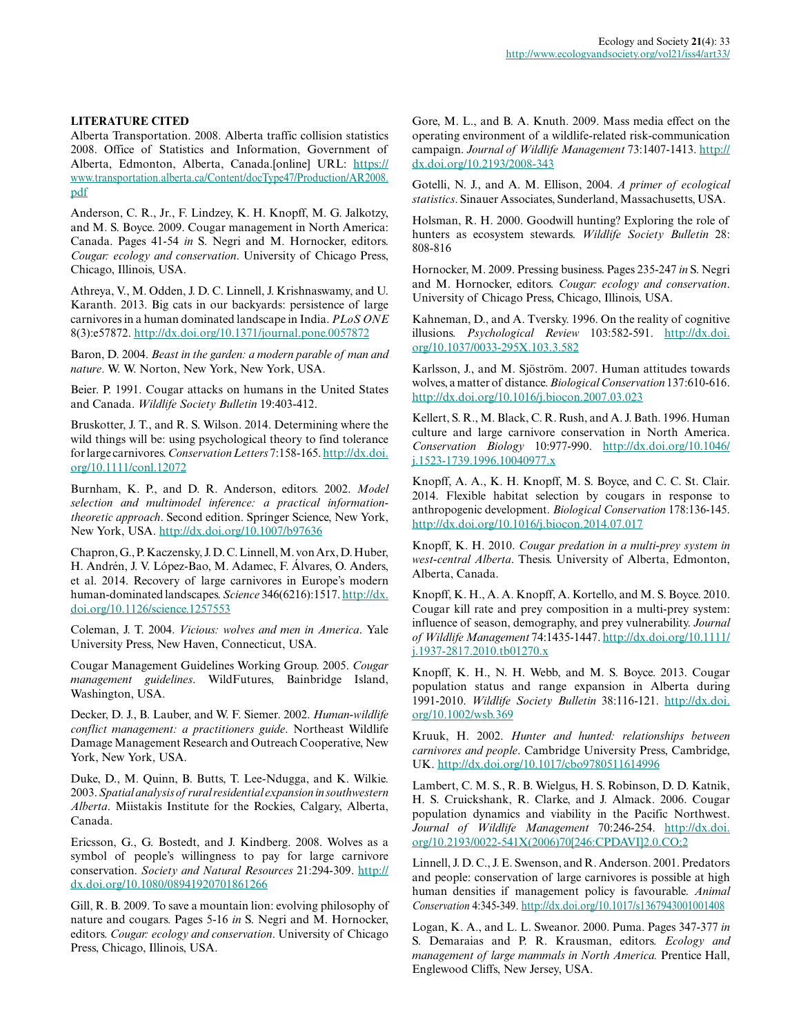#### **LITERATURE CITED**

Alberta Transportation. 2008. Alberta traffic collision statistics 2008. Office of Statistics and Information, Government of Alberta, Edmonton, Alberta, Canada.[online] URL: [https://](https://www.transportation.alberta.ca/Content/docType47/Production/AR2008.pdf) [www.transportation.alberta.ca/Content/docType47/Production/AR2008.](https://www.transportation.alberta.ca/Content/docType47/Production/AR2008.pdf) [pdf](https://www.transportation.alberta.ca/Content/docType47/Production/AR2008.pdf)

Anderson, C. R., Jr., F. Lindzey, K. H. Knopff, M. G. Jalkotzy, and M. S. Boyce. 2009. Cougar management in North America: Canada. Pages 41-54 *in* S. Negri and M. Hornocker, editors. *Cougar: ecology and conservation*. University of Chicago Press, Chicago, Illinois, USA.

Athreya, V., M. Odden, J. D. C. Linnell, J. Krishnaswamy, and U. Karanth. 2013. Big cats in our backyards: persistence of large carnivores in a human dominated landscape in India. *PLoS ONE* 8(3):e57872. [http://dx.doi.org/10.1371/journal.pone.0057872](http://dx.doi.org/10.1371%2Fjournal.pone.0057872)

Baron, D. 2004. *Beast in the garden: a modern parable of man and nature*. W. W. Norton, New York, New York, USA.

Beier. P. 1991. Cougar attacks on humans in the United States and Canada. *Wildlife Society Bulletin* 19:403-412.

Bruskotter, J. T., and R. S. Wilson. 2014. Determining where the wild things will be: using psychological theory to find tolerance for large carnivores. *Conservation Letters* 7:158-165. [http://dx.doi.](http://dx.doi.org/10.1111%2Fconl.12072) [org/10.1111/conl.12072](http://dx.doi.org/10.1111%2Fconl.12072)

Burnham, K. P., and D. R. Anderson, editors. 2002. *Model selection and multimodel inference: a practical informationtheoretic approach*. Second edition. Springer Science, New York, New York, USA. [http://dx.doi.org/10.1007/b97636](http://dx.doi.org/10.1007%2Fb97636)

Chapron, G., P. Kaczensky, J. D. C. Linnell, M. von Arx, D. Huber, H. Andrén, J. V. López-Bao, M. Adamec, F. Álvares, O. Anders, et al. 2014. Recovery of large carnivores in Europe's modern human-dominated landscapes. *Science* 346(6216):1517. [http://dx.](http://dx.doi.org/10.1126%2Fscience.1257553) [doi.org/10.1126/science.1257553](http://dx.doi.org/10.1126%2Fscience.1257553)

Coleman, J. T. 2004. *Vicious: wolves and men in America*. Yale University Press, New Haven, Connecticut, USA.

Cougar Management Guidelines Working Group. 2005. *Cougar management guidelines*. WildFutures, Bainbridge Island, Washington, USA.

Decker, D. J., B. Lauber, and W. F. Siemer. 2002. *Human-wildlife conflict management: a practitioners guide*. Northeast Wildlife Damage Management Research and Outreach Cooperative, New York, New York, USA.

Duke, D., M. Quinn, B. Butts, T. Lee-Ndugga, and K. Wilkie. 2003. *Spatial analysis of rural residential expansion in southwestern Alberta*. Miistakis Institute for the Rockies, Calgary, Alberta, Canada.

Ericsson, G., G. Bostedt, and J. Kindberg. 2008. Wolves as a symbol of people's willingness to pay for large carnivore conservation. *Society and Natural Resources* 21:294-309. [http://](http://dx.doi.org/10.1080%2F08941920701861266) [dx.doi.org/10.1080/08941920701861266](http://dx.doi.org/10.1080%2F08941920701861266)

Gill, R. B. 2009. To save a mountain lion: evolving philosophy of nature and cougars. Pages 5-16 *in* S. Negri and M. Hornocker, editors. *Cougar: ecology and conservation*. University of Chicago Press, Chicago, Illinois, USA.

Gore, M. L., and B. A. Knuth. 2009. Mass media effect on the operating environment of a wildlife-related risk-communication campaign. *Journal of Wildlife Management* 73:1407-1413. [http://](http://dx.doi.org/10.2193%2F2008-343) [dx.doi.org/10.2193/2008-343](http://dx.doi.org/10.2193%2F2008-343)

Gotelli, N. J., and A. M. Ellison, 2004. *A primer of ecological statistics*. Sinauer Associates, Sunderland, Massachusetts, USA.

Holsman, R. H. 2000. Goodwill hunting? Exploring the role of hunters as ecosystem stewards. *Wildlife Society Bulletin* 28: 808-816

Hornocker, M. 2009. Pressing business. Pages 235-247 *in* S. Negri and M. Hornocker, editors. *Cougar: ecology and conservation*. University of Chicago Press, Chicago, Illinois, USA.

Kahneman, D., and A. Tversky. 1996. On the reality of cognitive illusions. *Psychological Review* 103:582-591. [http://dx.doi.](http://dx.doi.org/10.1037%2F0033-295X.103.3.582) [org/10.1037/0033-295X.103.3.582](http://dx.doi.org/10.1037%2F0033-295X.103.3.582)

Karlsson, J., and M. Sjöström. 2007. Human attitudes towards wolves, a matter of distance. *Biological Conservation* 137:610-616. [http://dx.doi.org/10.1016/j.biocon.2007.03.023](http://dx.doi.org/10.1016%2Fj.biocon.2007.03.023)

Kellert, S. R., M. Black, C. R. Rush, and A. J. Bath. 1996. Human culture and large carnivore conservation in North America. *Conservation Biology* 10:977-990. [http://dx.doi.org/10.1046/](http://dx.doi.org/10.1046%2Fj.1523-1739.1996.10040977.x) [j.1523-1739.1996.10040977.x](http://dx.doi.org/10.1046%2Fj.1523-1739.1996.10040977.x) 

Knopff, A. A., K. H. Knopff, M. S. Boyce, and C. C. St. Clair. 2014. Flexible habitat selection by cougars in response to anthropogenic development. *Biological Conservation* 178:136-145. [http://dx.doi.org/10.1016/j.biocon.2014.07.017](http://dx.doi.org/10.1016%2Fj.biocon.2014.07.017)

Knopff, K. H. 2010. *Cougar predation in a multi-prey system in west-central Alberta*. Thesis. University of Alberta, Edmonton, Alberta, Canada.

Knopff, K. H., A. A. Knopff, A. Kortello, and M. S. Boyce. 2010. Cougar kill rate and prey composition in a multi-prey system: influence of season, demography, and prey vulnerability. *Journal of Wildlife Management* 74:1435-1447. [http://dx.doi.org/10.1111/](http://dx.doi.org/10.1111%2Fj.1937-2817.2010.tb01270.x) [j.1937-2817.2010.tb01270.x](http://dx.doi.org/10.1111%2Fj.1937-2817.2010.tb01270.x)

Knopff, K. H., N. H. Webb, and M. S. Boyce. 2013. Cougar population status and range expansion in Alberta during 1991-2010. *Wildlife Society Bulletin* 38:116-121. [http://dx.doi.](http://dx.doi.org/10.1002%2Fwsb.369) [org/10.1002/wsb.369](http://dx.doi.org/10.1002%2Fwsb.369)

Kruuk, H. 2002. *Hunter and hunted: relationships between carnivores and people*. Cambridge University Press, Cambridge, UK. [http://dx.doi.org/10.1017/cbo9780511614996](http://dx.doi.org/10.1017%2Fcbo9780511614996)

Lambert, C. M. S., R. B. Wielgus, H. S. Robinson, D. D. Katnik, H. S. Cruickshank, R. Clarke, and J. Almack. 2006. Cougar population dynamics and viability in the Pacific Northwest. *Journal of Wildlife Management* 70:246-254. [http://dx.doi.](http://dx.doi.org/10.2193%2F0022-541X%282006%2970%5B246%3ACPDAVI%5D2.0.CO%3B2) [org/10.2193/0022-541X\(2006\)70\[246:CPDAVI\]2.0.CO;2](http://dx.doi.org/10.2193%2F0022-541X%282006%2970%5B246%3ACPDAVI%5D2.0.CO%3B2)

Linnell, J. D. C., J. E. Swenson, and R. Anderson. 2001. Predators and people: conservation of large carnivores is possible at high human densities if management policy is favourable. *Animal Conservation* 4:345-349. [http://dx.doi.org/10.1017/s1367943001001408](http://dx.doi.org/10.1017%2Fs1367943001001408) 

Logan, K. A., and L. L. Sweanor. 2000. Puma. Pages 347-377 *in* S. Demaraias and P. R. Krausman, editors. *Ecology and management of large mammals in North America.* Prentice Hall, Englewood Cliffs, New Jersey, USA.